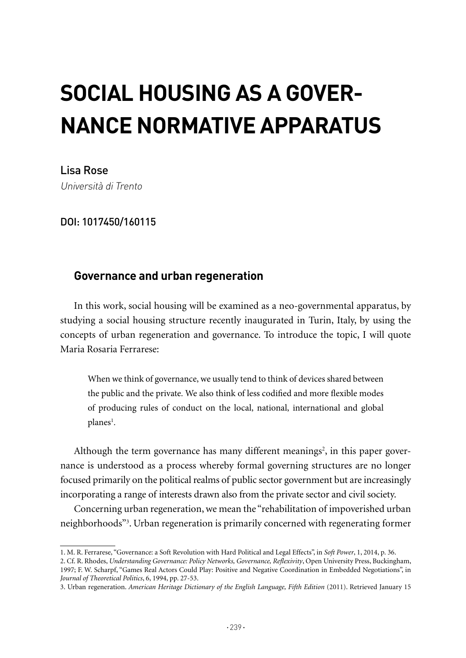# **SOCIAL HOUSING AS A GOVER-NANCE NORMATIVE APPARATUS**

Lisa Rose Università di Trento

DOI: 1017450/160115

## **Governance and urban regeneration**

In this work, social housing will be examined as a neo-governmental apparatus, by studying a social housing structure recently inaugurated in Turin, Italy, by using the concepts of urban regeneration and governance. To introduce the topic, I will quote Maria Rosaria Ferrarese:

When we think of governance, we usually tend to think of devices shared between the public and the private. We also think of less codified and more flexible modes of producing rules of conduct on the local, national, international and global planes<sup>1</sup>.

Although the term governance has many different meanings<sup>2</sup>, in this paper governance is understood as a process whereby formal governing structures are no longer focused primarily on the political realms of public sector government but are increasingly incorporating a range of interests drawn also from the private sector and civil society.

Concerning urban regeneration, we mean the "rehabilitation of impoverished urban neighborhoods"3 . Urban regeneration is primarily concerned with regenerating former

2. Cf. R. Rhodes, *Understanding Governance: Policy Networks, Governance, Reflexivity*, Open University Press, Buckingham, 1997; F. W. Scharpf, "Games Real Actors Could Play: Positive and Negative Coordination in Embedded Negotiations", in *Journal of Theoretical Politics*, 6, 1994, pp. 27-53.

<sup>1.</sup> M. R. Ferrarese, "Governance: a Soft Revolution with Hard Political and Legal Effects", in *Soft Power*, 1, 2014, p. 36.

<sup>3.</sup> Urban regeneration. *American Heritage Dictionary of the English Language, Fifth Edition* (2011). Retrieved January 15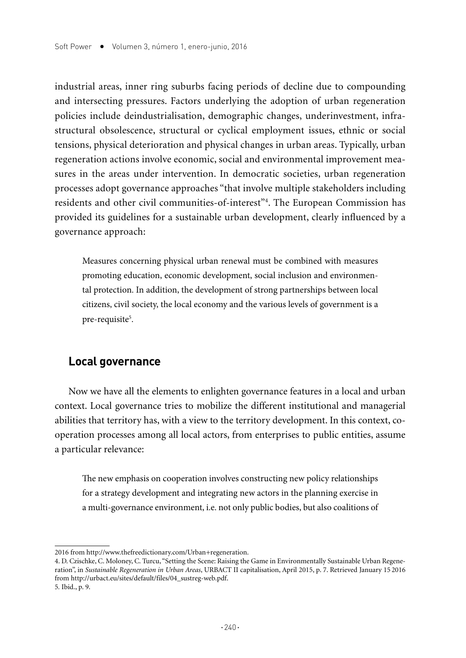industrial areas, inner ring suburbs facing periods of decline due to compounding and intersecting pressures. Factors underlying the adoption of urban regeneration policies include deindustrialisation, demographic changes, underinvestment, infrastructural obsolescence, structural or cyclical employment issues, ethnic or social tensions, physical deterioration and physical changes in urban areas. Typically, urban regeneration actions involve economic, social and environmental improvement measures in the areas under intervention. In democratic societies, urban regeneration processes adopt governance approaches "that involve multiple stakeholders including residents and other civil communities-of-interest"4 . The European Commission has provided its guidelines for a sustainable urban development, clearly influenced by a governance approach:

Measures concerning physical urban renewal must be combined with measures promoting education, economic development, social inclusion and environmental protection. In addition, the development of strong partnerships between local citizens, civil society, the local economy and the various levels of government is a pre-requisite<sup>5</sup>.

## **Local governance**

Now we have all the elements to enlighten governance features in a local and urban context. Local governance tries to mobilize the different institutional and managerial abilities that territory has, with a view to the territory development. In this context, cooperation processes among all local actors, from enterprises to public entities, assume a particular relevance:

The new emphasis on cooperation involves constructing new policy relationships for a strategy development and integrating new actors in the planning exercise in a multi-governance environment, i.e. not only public bodies, but also coalitions of

 $\cdot$ 240 $\cdot$ 

<sup>2016</sup> from http://www.thefreedictionary.com/Urban+regeneration.

<sup>4.</sup> D. Czischke, C. Moloney, C. Turcu, "Setting the Scene: Raising the Game in Environmentally Sustainable Urban Regeneration", in *Sustainable Regeneration in Urban Areas*, URBACT II capitalisation, April 2015, p. 7. Retrieved January 15 2016 from http://urbact.eu/sites/default/files/04\_sustreg-web.pdf. 5*.* Ibid., p. 9.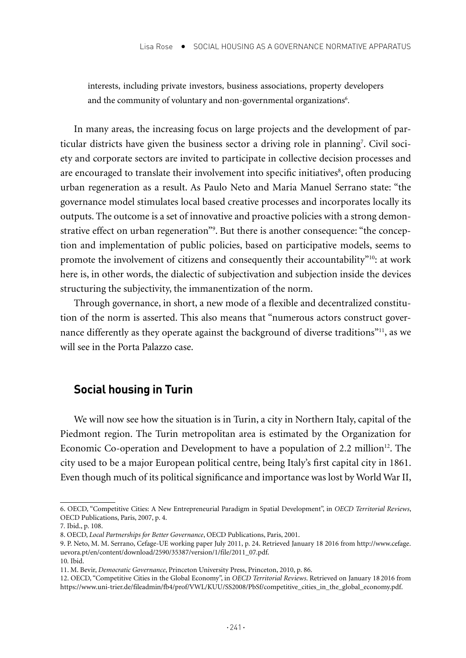interests, including private investors, business associations, property developers and the community of voluntary and non-governmental organizations<sup>6</sup>.

In many areas, the increasing focus on large projects and the development of particular districts have given the business sector a driving role in planning7 . Civil society and corporate sectors are invited to participate in collective decision processes and are encouraged to translate their involvement into specific initiatives<sup>8</sup>, often producing urban regeneration as a result. As Paulo Neto and Maria Manuel Serrano state: "the governance model stimulates local based creative processes and incorporates locally its outputs. The outcome is a set of innovative and proactive policies with a strong demonstrative effect on urban regeneration"9 . But there is another consequence: "the conception and implementation of public policies, based on participative models, seems to promote the involvement of citizens and consequently their accountability"10: at work here is, in other words, the dialectic of subjectivation and subjection inside the devices structuring the subjectivity, the immanentization of the norm.

Through governance, in short, a new mode of a flexible and decentralized constitution of the norm is asserted. This also means that "numerous actors construct governance differently as they operate against the background of diverse traditions"<sup>11</sup>, as we will see in the Porta Palazzo case.

### **Social housing in Turin**

We will now see how the situation is in Turin, a city in Northern Italy, capital of the Piedmont region. The Turin metropolitan area is estimated by the Organization for Economic Co-operation and Development to have a population of  $2.2 \text{ million}^{12}$ . The city used to be a major European political centre, being Italy's first capital city in 1861. Even though much of its political significance and importance was lost by World War II,

<sup>6.</sup> OECD, "Competitive Cities: A New Entrepreneurial Paradigm in Spatial Development", in *OECD Territorial Reviews*, OECD Publications, Paris, 2007, p. 4.

<sup>7</sup>*.* Ibid., p. 108.

<sup>8.</sup> OECD, *Local Partnerships for Better Governance*, OECD Publications, Paris, 2001.

<sup>9.</sup> P. Neto, M. M. Serrano, Cefage-UE working paper July 2011, p. 24. Retrieved January 18 2016 from http://www.cefage. uevora.pt/en/content/download/2590/35387/version/1/file/2011\_07.pdf.

<sup>10</sup>*.* Ibid.

<sup>11.</sup> M. Bevir, *Democratic Governance*, Princeton University Press, Princeton, 2010, p. 86.

<sup>12.</sup> OECD, "Competitive Cities in the Global Economy", in *OECD Territorial Reviews*. Retrieved on January 18 2016 from https://www.uni-trier.de/fileadmin/fb4/prof/VWL/KUU/SS2008/PbSf/competitive cities in the global economy.pdf.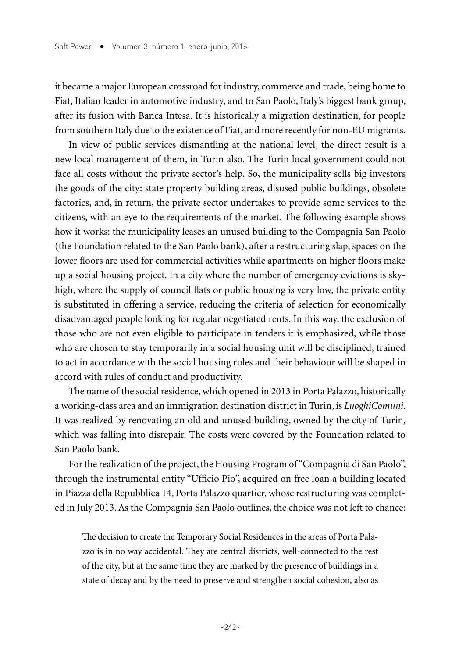it became a major European crossroad for industry, commerce and trade, being home to Fiat, Italian leader in automotive industry, and to San Paolo, Italy's biggest bank group, after its fusion with Banca Intesa. It is historically a migration destination, for people from southern Italy due to the existence of Fiat, and more recently for non-EU migrants.

In view of public services dismantling at the national level, the direct result is a new local management of them, in Turin also. The Turin local government could not face all costs without the private sector's help. So, the municipality sells big investors the goods of the city: state property building areas, disused public buildings, obsolete factories, and, in return, the private sector undertakes to provide some services to the citizens, with an eye to the requirements of the market. The following example shows how it works: the municipality leases an unused building to the Compagnia San Paolo (the Foundation related to the San Paolo bank), after a restructuring slap, spaces on the lower floors are used for commercial activities while apartments on higher floors make up a social housing project. In a city where the number of emergency evictions is skyhigh, where the supply of council flats or public housing is very low, the private entity is substituted in offering a service, reducing the criteria of selection for economically disadvantaged people looking for regular negotiated rents. In this way, the exclusion of those who are not even eligible to participate in tenders it is emphasized, while those who are chosen to stay temporarily in a social housing unit will be disciplined, trained to act in accordance with the social housing rules and their behaviour will be shaped in accord with rules of conduct and productivity.

The name of the social residence, which opened in 2013 in Porta Palazzo, historically a working-class area and an immigration destination district in Turin, is *LuoghiComuni*. It was realized by renovating an old and unused building, owned by the city of Turin, which was falling into disrepair. The costs were covered by the Foundation related to San Paolo bank.

For the realization of the project, the Housing Program of "Compagnia di San Paolo", through the instrumental entity "Ufficio Pio", acquired on free loan a building located in Piazza della Repubblica 14, Porta Palazzo quartier, whose restructuring was completed in July 2013. As the Compagnia San Paolo outlines, the choice was not left to chance:

The decision to create the Temporary Social Residences in the areas of Porta Palazzo is in no way accidental. They are central districts, well-connected to the rest of the city, but at the same time they are marked by the presence of buildings in a state of decay and by the need to preserve and strengthen social cohesion, also as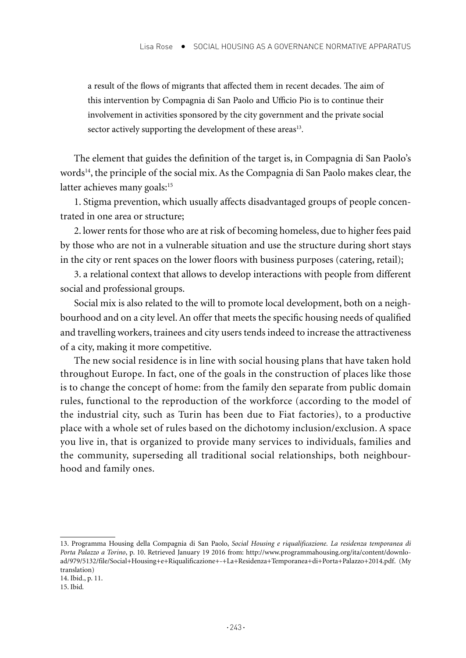a result of the flows of migrants that affected them in recent decades. The aim of this intervention by Compagnia di San Paolo and Ufficio Pio is to continue their involvement in activities sponsored by the city government and the private social sector actively supporting the development of these areas<sup>13</sup>.

The element that guides the definition of the target is, in Compagnia di San Paolo's words<sup>14</sup>, the principle of the social mix. As the Compagnia di San Paolo makes clear, the latter achieves many goals:<sup>15</sup>

1. Stigma prevention, which usually affects disadvantaged groups of people concentrated in one area or structure;

2. lower rents for those who are at risk of becoming homeless, due to higher fees paid by those who are not in a vulnerable situation and use the structure during short stays in the city or rent spaces on the lower floors with business purposes (catering, retail);

3. a relational context that allows to develop interactions with people from different social and professional groups.

Social mix is also related to the will to promote local development, both on a neighbourhood and on a city level. An offer that meets the specific housing needs of qualified and travelling workers, trainees and city users tends indeed to increase the attractiveness of a city, making it more competitive.

The new social residence is in line with social housing plans that have taken hold throughout Europe. In fact, one of the goals in the construction of places like those is to change the concept of home: from the family den separate from public domain rules, functional to the reproduction of the workforce (according to the model of the industrial city, such as Turin has been due to Fiat factories), to a productive place with a whole set of rules based on the dichotomy inclusion/exclusion. A space you live in, that is organized to provide many services to individuals, families and the community, superseding all traditional social relationships, both neighbourhood and family ones.

<sup>13.</sup> Programma Housing della Compagnia di San Paolo, *Social Housing e riqualificazione. La residenza temporanea di Porta Palazzo a Torino*, p. 10. Retrieved January 19 2016 from: http://www.programmahousing.org/ita/content/download/979/5132/file/Social+Housing+e+Riqualificazione+-+La+Residenza+Temporanea+di+Porta+Palazzo+2014.pdf. (My translation)

<sup>14.</sup> Ibid., p. 11.

<sup>15.</sup> Ibid*.*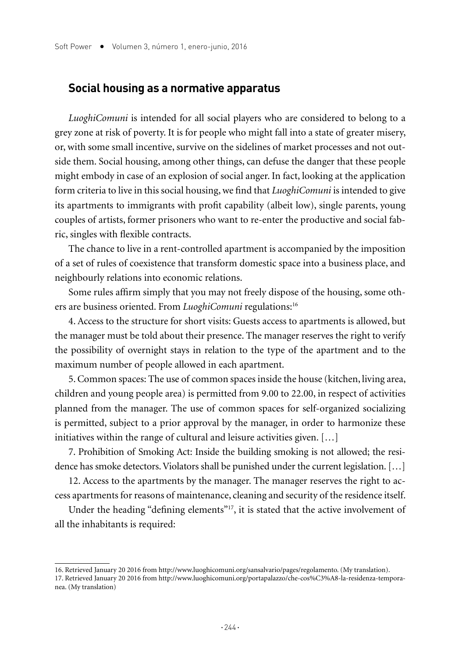#### **Social housing as a normative apparatus**

*LuoghiComuni* is intended for all social players who are considered to belong to a grey zone at risk of poverty. It is for people who might fall into a state of greater misery, or, with some small incentive, survive on the sidelines of market processes and not outside them. Social housing, among other things, can defuse the danger that these people might embody in case of an explosion of social anger. In fact, looking at the application form criteria to live in this social housing, we find that *LuoghiComuni* is intended to give its apartments to immigrants with profit capability (albeit low), single parents, young couples of artists, former prisoners who want to re-enter the productive and social fabric, singles with flexible contracts.

The chance to live in a rent-controlled apartment is accompanied by the imposition of a set of rules of coexistence that transform domestic space into a business place, and neighbourly relations into economic relations.

Some rules affirm simply that you may not freely dispose of the housing, some others are business oriented. From *LuoghiComuni* regulations:16

4. Access to the structure for short visits: Guests access to apartments is allowed, but the manager must be told about their presence. The manager reserves the right to verify the possibility of overnight stays in relation to the type of the apartment and to the maximum number of people allowed in each apartment.

5. Common spaces: The use of common spaces inside the house (kitchen, living area, children and young people area) is permitted from 9.00 to 22.00, in respect of activities planned from the manager. The use of common spaces for self-organized socializing is permitted, subject to a prior approval by the manager, in order to harmonize these initiatives within the range of cultural and leisure activities given. […]

7. Prohibition of Smoking Act: Inside the building smoking is not allowed; the residence has smoke detectors. Violators shall be punished under the current legislation. […]

12. Access to the apartments by the manager. The manager reserves the right to access apartments for reasons of maintenance, cleaning and security of the residence itself.

Under the heading "defining elements"<sup>17</sup>, it is stated that the active involvement of all the inhabitants is required:

<sup>16.</sup> Retrieved January 20 2016 from http://www.luoghicomuni.org/sansalvario/pages/regolamento. (My translation).

<sup>17.</sup> Retrieved January 20 2016 from http://www.luoghicomuni.org/portapalazzo/che-cos%C3%A8-la-residenza-temporanea. (My translation)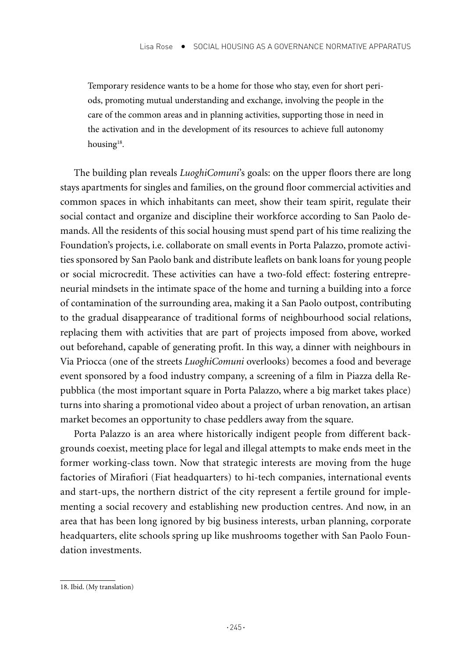Temporary residence wants to be a home for those who stay, even for short periods, promoting mutual understanding and exchange, involving the people in the care of the common areas and in planning activities, supporting those in need in the activation and in the development of its resources to achieve full autonomy housing<sup>18</sup>.

The building plan reveals *LuoghiComuni*'s goals: on the upper floors there are long stays apartments for singles and families, on the ground floor commercial activities and common spaces in which inhabitants can meet, show their team spirit, regulate their social contact and organize and discipline their workforce according to San Paolo demands. All the residents of this social housing must spend part of his time realizing the Foundation's projects, i.e. collaborate on small events in Porta Palazzo, promote activities sponsored by San Paolo bank and distribute leaflets on bank loans for young people or social microcredit. These activities can have a two-fold effect: fostering entrepreneurial mindsets in the intimate space of the home and turning a building into a force of contamination of the surrounding area, making it a San Paolo outpost, contributing to the gradual disappearance of traditional forms of neighbourhood social relations, replacing them with activities that are part of projects imposed from above, worked out beforehand, capable of generating profit. In this way, a dinner with neighbours in Via Priocca (one of the streets *LuoghiComuni* overlooks) becomes a food and beverage event sponsored by a food industry company, a screening of a film in Piazza della Repubblica (the most important square in Porta Palazzo, where a big market takes place) turns into sharing a promotional video about a project of urban renovation, an artisan market becomes an opportunity to chase peddlers away from the square.

Porta Palazzo is an area where historically indigent people from different backgrounds coexist, meeting place for legal and illegal attempts to make ends meet in the former working-class town. Now that strategic interests are moving from the huge factories of Mirafiori (Fiat headquarters) to hi-tech companies, international events and start-ups, the northern district of the city represent a fertile ground for implementing a social recovery and establishing new production centres. And now, in an area that has been long ignored by big business interests, urban planning, corporate headquarters, elite schools spring up like mushrooms together with San Paolo Foundation investments.

<sup>18.</sup> Ibid. (My translation)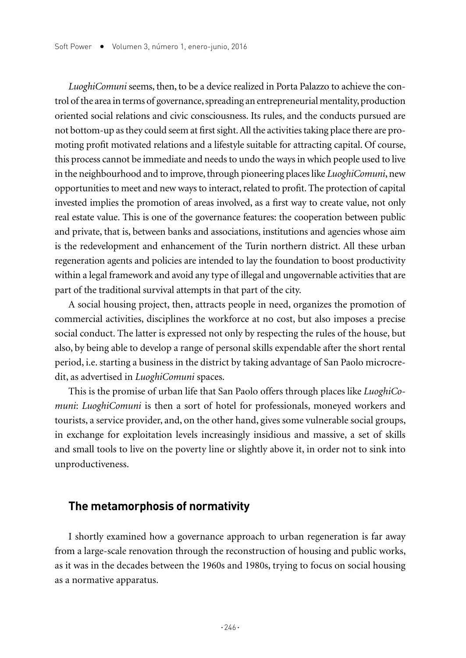*LuoghiComuni* seems, then, to be a device realized in Porta Palazzo to achieve the control of the area in terms of governance, spreading an entrepreneurial mentality, production oriented social relations and civic consciousness. Its rules, and the conducts pursued are not bottom-up as they could seem at first sight. All the activities taking place there are promoting profit motivated relations and a lifestyle suitable for attracting capital. Of course, this process cannot be immediate and needs to undo the ways in which people used to live in the neighbourhood and to improve, through pioneering places like *LuoghiComuni*, new opportunities to meet and new ways to interact, related to profit. The protection of capital invested implies the promotion of areas involved, as a first way to create value, not only real estate value. This is one of the governance features: the cooperation between public and private, that is, between banks and associations, institutions and agencies whose aim is the redevelopment and enhancement of the Turin northern district. All these urban regeneration agents and policies are intended to lay the foundation to boost productivity within a legal framework and avoid any type of illegal and ungovernable activities that are part of the traditional survival attempts in that part of the city.

A social housing project, then, attracts people in need, organizes the promotion of commercial activities, disciplines the workforce at no cost, but also imposes a precise social conduct. The latter is expressed not only by respecting the rules of the house, but also, by being able to develop a range of personal skills expendable after the short rental period, i.e. starting a business in the district by taking advantage of San Paolo microcredit, as advertised in *LuoghiComuni* spaces.

This is the promise of urban life that San Paolo offers through places like *LuoghiComuni*: *LuoghiComuni* is then a sort of hotel for professionals, moneyed workers and tourists, a service provider, and, on the other hand, gives some vulnerable social groups, in exchange for exploitation levels increasingly insidious and massive, a set of skills and small tools to live on the poverty line or slightly above it, in order not to sink into unproductiveness.

#### **The metamorphosis of normativity**

I shortly examined how a governance approach to urban regeneration is far away from a large-scale renovation through the reconstruction of housing and public works, as it was in the decades between the 1960s and 1980s, trying to focus on social housing as a normative apparatus.